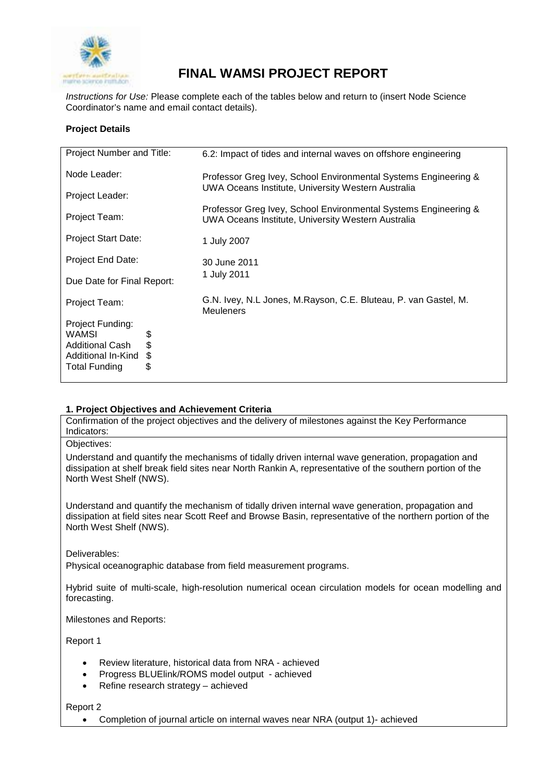

# **FINAL WAMSI PROJECT REPORT**

*Instructions for Use:* Please complete each of the tables below and return to (insert Node Science Coordinator's name and email contact details).

# **Project Details**

| Project Number and Title:                                                                                                 | 6.2: Impact of tides and internal waves on offshore engineering                                                       |  |
|---------------------------------------------------------------------------------------------------------------------------|-----------------------------------------------------------------------------------------------------------------------|--|
| Node Leader:                                                                                                              | Professor Greg Ivey, School Environmental Systems Engineering &<br>UWA Oceans Institute, University Western Australia |  |
| Project Leader:                                                                                                           |                                                                                                                       |  |
| Project Team:                                                                                                             | Professor Greg Ivey, School Environmental Systems Engineering &<br>UWA Oceans Institute, University Western Australia |  |
| Project Start Date:                                                                                                       | 1 July 2007                                                                                                           |  |
| Project End Date:                                                                                                         | 30 June 2011                                                                                                          |  |
| Due Date for Final Report:                                                                                                | 1 July 2011                                                                                                           |  |
| Project Team:                                                                                                             | G.N. Ivey, N.L Jones, M.Rayson, C.E. Bluteau, P. van Gastel, M.<br><b>Meuleners</b>                                   |  |
| Project Funding:<br>WAMSI<br>\$<br>\$<br><b>Additional Cash</b><br>\$<br>Additional In-Kind<br>\$<br><b>Total Funding</b> |                                                                                                                       |  |

## **1. Project Objectives and Achievement Criteria**

Confirmation of the project objectives and the delivery of milestones against the Key Performance Indicators:

Objectives:

Understand and quantify the mechanisms of tidally driven internal wave generation, propagation and dissipation at shelf break field sites near North Rankin A, representative of the southern portion of the North West Shelf (NWS).

Understand and quantify the mechanism of tidally driven internal wave generation, propagation and dissipation at field sites near Scott Reef and Browse Basin, representative of the northern portion of the North West Shelf (NWS).

Deliverables:

Physical oceanographic database from field measurement programs.

Hybrid suite of multi-scale, high-resolution numerical ocean circulation models for ocean modelling and forecasting.

Milestones and Reports:

Report 1

- Review literature, historical data from NRA achieved
- Progress BLUElink/ROMS model output achieved
- Refine research strategy achieved

Report 2

• Completion of journal article on internal waves near NRA (output 1)- achieved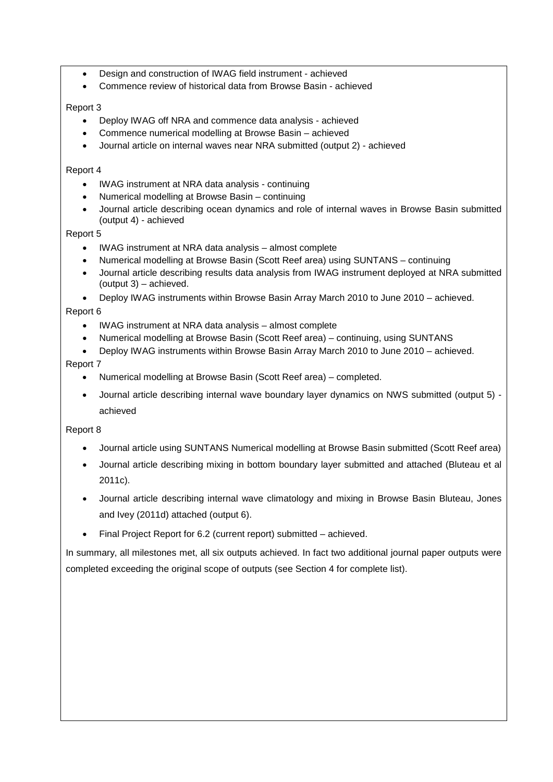- Design and construction of IWAG field instrument achieved
- Commence review of historical data from Browse Basin achieved

# Report 3

- Deploy IWAG off NRA and commence data analysis achieved
- Commence numerical modelling at Browse Basin achieved
- Journal article on internal waves near NRA submitted (output 2) achieved

## Report 4

- IWAG instrument at NRA data analysis continuing
- Numerical modelling at Browse Basin continuing
- Journal article describing ocean dynamics and role of internal waves in Browse Basin submitted (output 4) - achieved

# Report 5

- IWAG instrument at NRA data analysis almost complete
- Numerical modelling at Browse Basin (Scott Reef area) using SUNTANS continuing
- Journal article describing results data analysis from IWAG instrument deployed at NRA submitted (output 3) – achieved.
- Deploy IWAG instruments within Browse Basin Array March 2010 to June 2010 achieved.

# Report 6

- IWAG instrument at NRA data analysis almost complete
- Numerical modelling at Browse Basin (Scott Reef area) continuing, using SUNTANS
- Deploy IWAG instruments within Browse Basin Array March 2010 to June 2010 achieved.

# Report 7

- Numerical modelling at Browse Basin (Scott Reef area) completed.
- Journal article describing internal wave boundary layer dynamics on NWS submitted (output 5) achieved

## Report 8

- Journal article using SUNTANS Numerical modelling at Browse Basin submitted (Scott Reef area)
- Journal article describing mixing in bottom boundary layer submitted and attached (Bluteau et al 2011c).
- Journal article describing internal wave climatology and mixing in Browse Basin Bluteau, Jones and Ivey (2011d) attached (output 6).
- Final Project Report for 6.2 (current report) submitted achieved.

In summary, all milestones met, all six outputs achieved. In fact two additional journal paper outputs were completed exceeding the original scope of outputs (see Section 4 for complete list).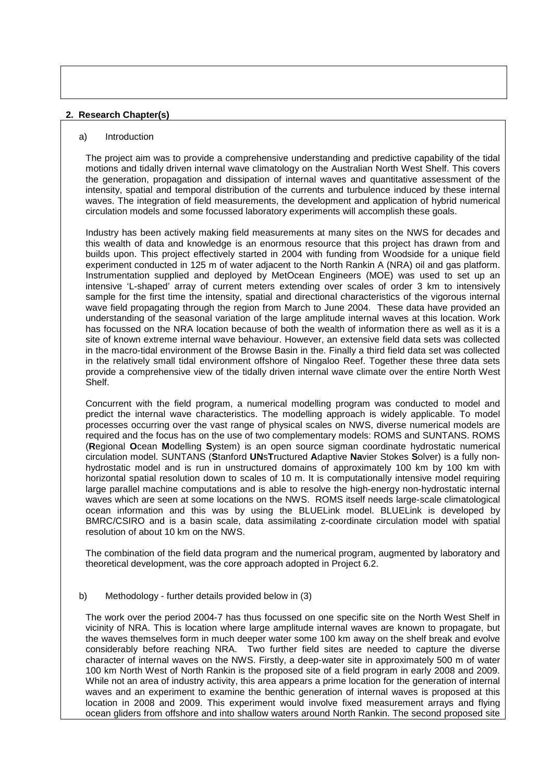#### **2. Research Chapter(s)**

#### a) Introduction

The project aim was to provide a comprehensive understanding and predictive capability of the tidal motions and tidally driven internal wave climatology on the Australian North West Shelf. This covers the generation, propagation and dissipation of internal waves and quantitative assessment of the intensity, spatial and temporal distribution of the currents and turbulence induced by these internal waves. The integration of field measurements, the development and application of hybrid numerical circulation models and some focussed laboratory experiments will accomplish these goals.

Industry has been actively making field measurements at many sites on the NWS for decades and this wealth of data and knowledge is an enormous resource that this project has drawn from and builds upon. This project effectively started in 2004 with funding from Woodside for a unique field experiment conducted in 125 m of water adjacent to the North Rankin A (NRA) oil and gas platform. Instrumentation supplied and deployed by MetOcean Engineers (MOE) was used to set up an intensive 'L-shaped' array of current meters extending over scales of order 3 km to intensively sample for the first time the intensity, spatial and directional characteristics of the vigorous internal wave field propagating through the region from March to June 2004. These data have provided an understanding of the seasonal variation of the large amplitude internal waves at this location. Work has focussed on the NRA location because of both the wealth of information there as well as it is a site of known extreme internal wave behaviour. However, an extensive field data sets was collected in the macro-tidal environment of the Browse Basin in the. Finally a third field data set was collected in the relatively small tidal environment offshore of Ningaloo Reef. Together these three data sets provide a comprehensive view of the tidally driven internal wave climate over the entire North West Shelf.

Concurrent with the field program, a numerical modelling program was conducted to model and predict the internal wave characteristics. The modelling approach is widely applicable. To model processes occurring over the vast range of physical scales on NWS, diverse numerical models are required and the focus has on the use of two complementary models: ROMS and SUNTANS. ROMS (**R**egional **O**cean **M**odelling **S**ystem) is an open source sigman coordinate hydrostatic numerical circulation model. SUNTANS (**S**tanford **UN**s**T**ructured **A**daptive **Na**vier Stokes **S**olver) is a fully nonhydrostatic model and is run in unstructured domains of approximately 100 km by 100 km with horizontal spatial resolution down to scales of 10 m. It is computationally intensive model requiring large parallel machine computations and is able to resolve the high-energy non-hydrostatic internal waves which are seen at some locations on the NWS. ROMS itself needs large-scale climatological ocean information and this was by using the BLUELink model. BLUELink is developed by BMRC/CSIRO and is a basin scale, data assimilating z-coordinate circulation model with spatial resolution of about 10 km on the NWS.

The combination of the field data program and the numerical program, augmented by laboratory and theoretical development, was the core approach adopted in Project 6.2.

#### b) Methodology - further details provided below in (3)

The work over the period 2004-7 has thus focussed on one specific site on the North West Shelf in vicinity of NRA. This is location where large amplitude internal waves are known to propagate, but the waves themselves form in much deeper water some 100 km away on the shelf break and evolve considerably before reaching NRA. Two further field sites are needed to capture the diverse character of internal waves on the NWS. Firstly, a deep-water site in approximately 500 m of water 100 km North West of North Rankin is the proposed site of a field program in early 2008 and 2009. While not an area of industry activity, this area appears a prime location for the generation of internal waves and an experiment to examine the benthic generation of internal waves is proposed at this location in 2008 and 2009. This experiment would involve fixed measurement arrays and flying ocean gliders from offshore and into shallow waters around North Rankin. The second proposed site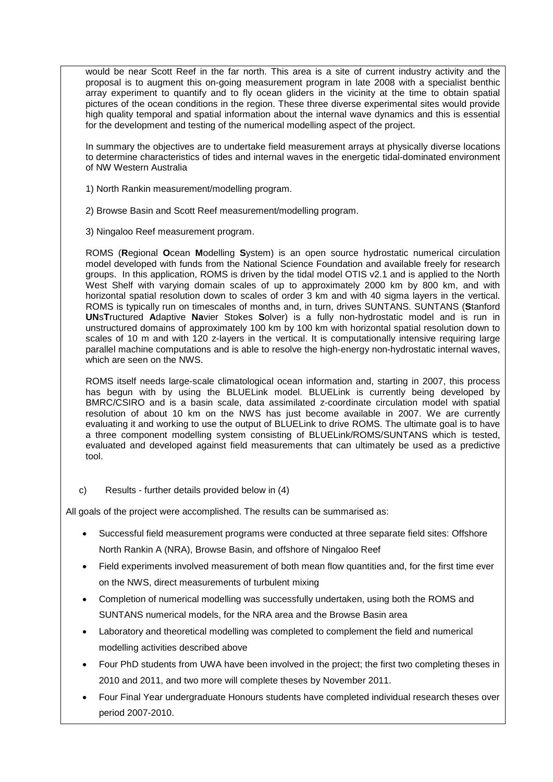would be near Scott Reef in the far north. This area is a site of current industry activity and the proposal is to augment this on-going measurement program in late 2008 with a specialist benthic array experiment to quantify and to fly ocean gliders in the vicinity at the time to obtain spatial pictures of the ocean conditions in the region. These three diverse experimental sites would provide high quality temporal and spatial information about the internal wave dynamics and this is essential for the development and testing of the numerical modelling aspect of the project.

In summary the objectives are to undertake field measurement arrays at physically diverse locations to determine characteristics of tides and internal waves in the energetic tidal-dominated environment of NW Western Australia

- 1) North Rankin measurement/modelling program.
- 2) Browse Basin and Scott Reef measurement/modelling program.
- 3) Ningaloo Reef measurement program.

ROMS (**R**egional **O**cean **M**odelling **S**ystem) is an open source hydrostatic numerical circulation model developed with funds from the National Science Foundation and available freely for research groups. In this application, ROMS is driven by the tidal model OTIS v2.1 and is applied to the North West Shelf with varying domain scales of up to approximately 2000 km by 800 km, and with horizontal spatial resolution down to scales of order 3 km and with 40 sigma layers in the vertical. ROMS is typically run on timescales of months and, in turn, drives SUNTANS. SUNTANS (**S**tanford **UN**s**T**ructured **A**daptive **Na**vier Stokes **S**olver) is a fully non-hydrostatic model and is run in unstructured domains of approximately 100 km by 100 km with horizontal spatial resolution down to scales of 10 m and with 120 z-layers in the vertical. It is computationally intensive requiring large parallel machine computations and is able to resolve the high-energy non-hydrostatic internal waves, which are seen on the NWS.

ROMS itself needs large-scale climatological ocean information and, starting in 2007, this process has begun with by using the BLUELink model. BLUELink is currently being developed by BMRC/CSIRO and is a basin scale, data assimilated z-coordinate circulation model with spatial resolution of about 10 km on the NWS has just become available in 2007. We are currently evaluating it and working to use the output of BLUELink to drive ROMS. The ultimate goal is to have a three component modelling system consisting of BLUELink/ROMS/SUNTANS which is tested, evaluated and developed against field measurements that can ultimately be used as a predictive tool.

## c) Results - further details provided below in (4)

All goals of the project were accomplished. The results can be summarised as:

- Successful field measurement programs were conducted at three separate field sites: Offshore North Rankin A (NRA), Browse Basin, and offshore of Ningaloo Reef
- Field experiments involved measurement of both mean flow quantities and, for the first time ever on the NWS, direct measurements of turbulent mixing
- Completion of numerical modelling was successfully undertaken, using both the ROMS and SUNTANS numerical models, for the NRA area and the Browse Basin area
- Laboratory and theoretical modelling was completed to complement the field and numerical modelling activities described above
- Four PhD students from UWA have been involved in the project; the first two completing theses in 2010 and 2011, and two more will complete theses by November 2011.
- Four Final Year undergraduate Honours students have completed individual research theses over period 2007-2010.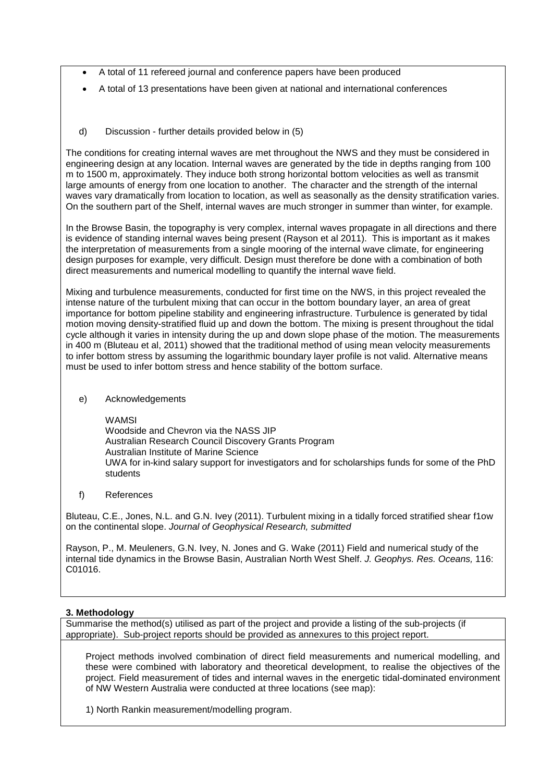- A total of 11 refereed journal and conference papers have been produced
- A total of 13 presentations have been given at national and international conferences
- d) Discussion further details provided below in (5)

The conditions for creating internal waves are met throughout the NWS and they must be considered in engineering design at any location. Internal waves are generated by the tide in depths ranging from 100 m to 1500 m, approximately. They induce both strong horizontal bottom velocities as well as transmit large amounts of energy from one location to another. The character and the strength of the internal waves vary dramatically from location to location, as well as seasonally as the density stratification varies. On the southern part of the Shelf, internal waves are much stronger in summer than winter, for example.

In the Browse Basin, the topography is very complex, internal waves propagate in all directions and there is evidence of standing internal waves being present (Rayson et al 2011). This is important as it makes the interpretation of measurements from a single mooring of the internal wave climate, for engineering design purposes for example, very difficult. Design must therefore be done with a combination of both direct measurements and numerical modelling to quantify the internal wave field.

Mixing and turbulence measurements, conducted for first time on the NWS, in this project revealed the intense nature of the turbulent mixing that can occur in the bottom boundary layer, an area of great importance for bottom pipeline stability and engineering infrastructure. Turbulence is generated by tidal motion moving density-stratified fluid up and down the bottom. The mixing is present throughout the tidal cycle although it varies in intensity during the up and down slope phase of the motion. The measurements in 400 m (Bluteau et al, 2011) showed that the traditional method of using mean velocity measurements to infer bottom stress by assuming the logarithmic boundary layer profile is not valid. Alternative means must be used to infer bottom stress and hence stability of the bottom surface.

e) Acknowledgements

**WAMSI** 

Woodside and Chevron via the NASS JIP Australian Research Council Discovery Grants Program Australian Institute of Marine Science UWA for in-kind salary support for investigators and for scholarships funds for some of the PhD students

f) References

Bluteau, C.E., Jones, N.L. and G.N. Ivey (2011). Turbulent mixing in a tidally forced stratified shear f1ow on the continental slope. *Journal of Geophysical Research, submitted*

Rayson, P., M. Meuleners, G.N. Ivey, N. Jones and G. Wake (2011) Field and numerical study of the internal tide dynamics in the Browse Basin, Australian North West Shelf. *J. Geophys. Res. Oceans,* 116: C01016.

# **3. Methodology**

Summarise the method(s) utilised as part of the project and provide a listing of the sub-projects (if appropriate). Sub-project reports should be provided as annexures to this project report.

Project methods involved combination of direct field measurements and numerical modelling, and these were combined with laboratory and theoretical development, to realise the objectives of the project. Field measurement of tides and internal waves in the energetic tidal-dominated environment of NW Western Australia were conducted at three locations (see map):

1) North Rankin measurement/modelling program.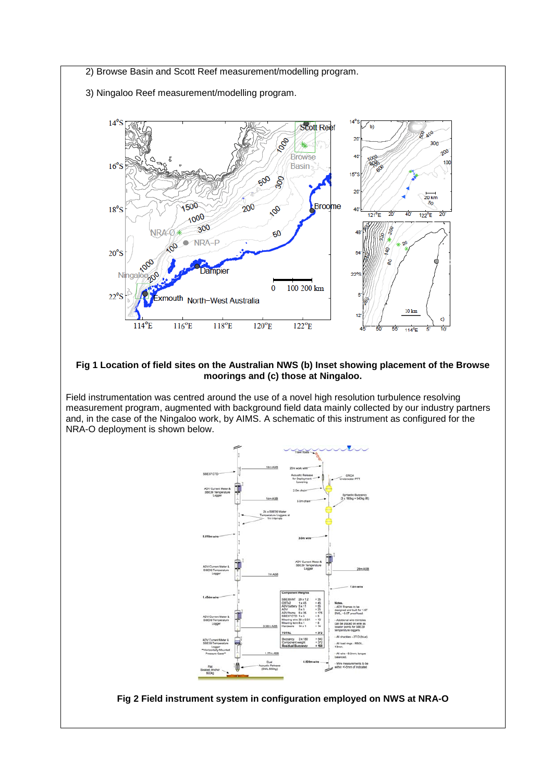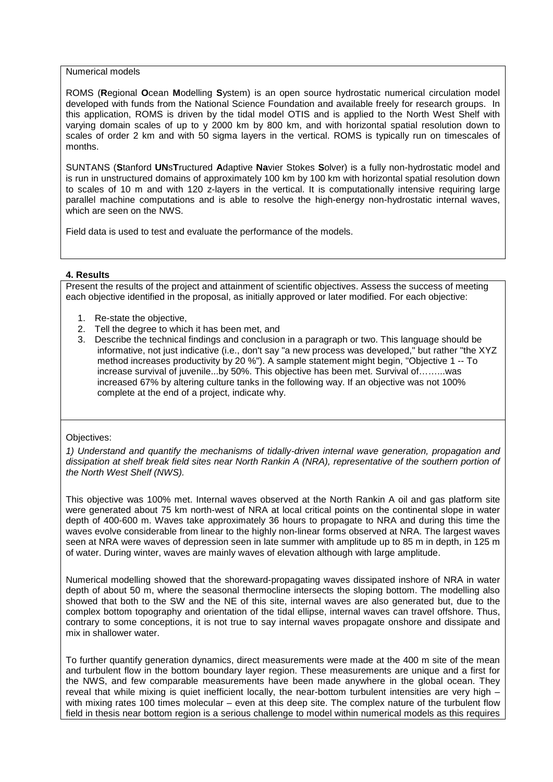#### Numerical models

ROMS (**R**egional **O**cean **M**odelling **S**ystem) is an open source hydrostatic numerical circulation model developed with funds from the National Science Foundation and available freely for research groups. In this application, ROMS is driven by the tidal model OTIS and is applied to the North West Shelf with varying domain scales of up to y 2000 km by 800 km, and with horizontal spatial resolution down to scales of order 2 km and with 50 sigma layers in the vertical. ROMS is typically run on timescales of months.

SUNTANS (**S**tanford **UN**s**T**ructured **A**daptive **Na**vier Stokes **S**olver) is a fully non-hydrostatic model and is run in unstructured domains of approximately 100 km by 100 km with horizontal spatial resolution down to scales of 10 m and with 120 z-layers in the vertical. It is computationally intensive requiring large parallel machine computations and is able to resolve the high-energy non-hydrostatic internal waves, which are seen on the NWS.

Field data is used to test and evaluate the performance of the models.

## **4. Results**

Present the results of the project and attainment of scientific objectives. Assess the success of meeting each objective identified in the proposal, as initially approved or later modified. For each objective:

- 1. Re-state the objective,
- 2. Tell the degree to which it has been met, and
- 3. Describe the technical findings and conclusion in a paragraph or two. This language should be informative, not just indicative (i.e., don't say "a new process was developed," but rather "the XYZ method increases productivity by 20 %"). A sample statement might begin, "Objective 1 -- To increase survival of juvenile...by 50%. This objective has been met. Survival of……...was increased 67% by altering culture tanks in the following way. If an objective was not 100% complete at the end of a project, indicate why.

#### Objectives:

*1) Understand and quantify the mechanisms of tidally-driven internal wave generation, propagation and dissipation at shelf break field sites near North Rankin A (NRA), representative of the southern portion of the North West Shelf (NWS).*

This objective was 100% met. Internal waves observed at the North Rankin A oil and gas platform site were generated about 75 km north-west of NRA at local critical points on the continental slope in water depth of 400-600 m. Waves take approximately 36 hours to propagate to NRA and during this time the waves evolve considerable from linear to the highly non-linear forms observed at NRA. The largest waves seen at NRA were waves of depression seen in late summer with amplitude up to 85 m in depth, in 125 m of water. During winter, waves are mainly waves of elevation although with large amplitude.

Numerical modelling showed that the shoreward-propagating waves dissipated inshore of NRA in water depth of about 50 m, where the seasonal thermocline intersects the sloping bottom. The modelling also showed that both to the SW and the NE of this site, internal waves are also generated but, due to the complex bottom topography and orientation of the tidal ellipse, internal waves can travel offshore. Thus, contrary to some conceptions, it is not true to say internal waves propagate onshore and dissipate and mix in shallower water.

To further quantify generation dynamics, direct measurements were made at the 400 m site of the mean and turbulent flow in the bottom boundary layer region. These measurements are unique and a first for the NWS, and few comparable measurements have been made anywhere in the global ocean. They reveal that while mixing is quiet inefficient locally, the near-bottom turbulent intensities are very high with mixing rates 100 times molecular – even at this deep site. The complex nature of the turbulent flow field in thesis near bottom region is a serious challenge to model within numerical models as this requires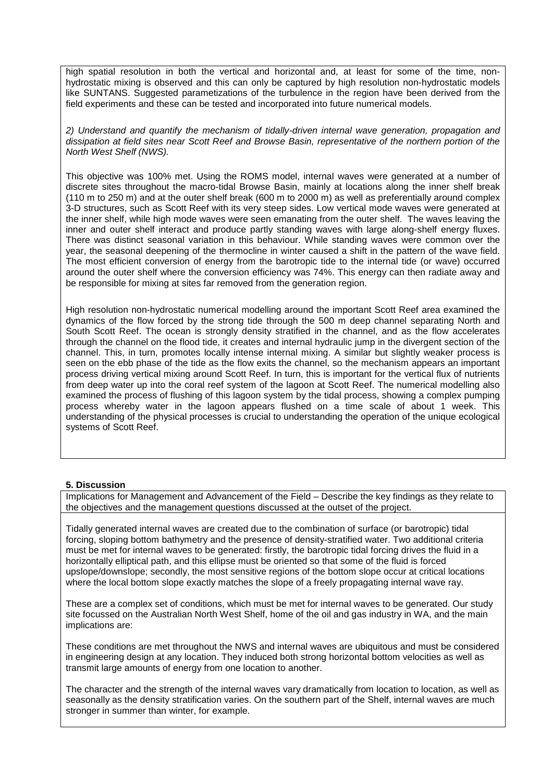high spatial resolution in both the vertical and horizontal and, at least for some of the time, nonhydrostatic mixing is observed and this can only be captured by high resolution non-hydrostatic models like SUNTANS. Suggested parametizations of the turbulence in the region have been derived from the field experiments and these can be tested and incorporated into future numerical models.

*2) Understand and quantify the mechanism of tidally-driven internal wave generation, propagation and dissipation at field sites near Scott Reef and Browse Basin, representative of the northern portion of the North West Shelf (NWS).*

This objective was 100% met. Using the ROMS model, internal waves were generated at a number of discrete sites throughout the macro-tidal Browse Basin, mainly at locations along the inner shelf break (110 m to 250 m) and at the outer shelf break (600 m to 2000 m) as well as preferentially around complex 3-D structures, such as Scott Reef with its very steep sides. Low vertical mode waves were generated at the inner shelf, while high mode waves were seen emanating from the outer shelf. The waves leaving the inner and outer shelf interact and produce partly standing waves with large along-shelf energy fluxes. There was distinct seasonal variation in this behaviour. While standing waves were common over the year, the seasonal deepening of the thermocline in winter caused a shift in the pattern of the wave field. The most efficient conversion of energy from the barotropic tide to the internal tide (or wave) occurred around the outer shelf where the conversion efficiency was 74%. This energy can then radiate away and be responsible for mixing at sites far removed from the generation region.

High resolution non-hydrostatic numerical modelling around the important Scott Reef area examined the dynamics of the flow forced by the strong tide through the 500 m deep channel separating North and South Scott Reef. The ocean is strongly density stratified in the channel, and as the flow accelerates through the channel on the flood tide, it creates and internal hydraulic jump in the divergent section of the channel. This, in turn, promotes locally intense internal mixing. A similar but slightly weaker process is seen on the ebb phase of the tide as the flow exits the channel, so the mechanism appears an important process driving vertical mixing around Scott Reef. In turn, this is important for the vertical flux of nutrients from deep water up into the coral reef system of the lagoon at Scott Reef. The numerical modelling also examined the process of flushing of this lagoon system by the tidal process, showing a complex pumping process whereby water in the lagoon appears flushed on a time scale of about 1 week. This understanding of the physical processes is crucial to understanding the operation of the unique ecological systems of Scott Reef.

#### **5. Discussion**

Implications for Management and Advancement of the Field – Describe the key findings as they relate to the objectives and the management questions discussed at the outset of the project.

Tidally generated internal waves are created due to the combination of surface (or barotropic) tidal forcing, sloping bottom bathymetry and the presence of density-stratified water. Two additional criteria must be met for internal waves to be generated: firstly, the barotropic tidal forcing drives the fluid in a horizontally elliptical path, and this ellipse must be oriented so that some of the fluid is forced upslope/downslope; secondly, the most sensitive regions of the bottom slope occur at critical locations where the local bottom slope exactly matches the slope of a freely propagating internal wave ray.

These are a complex set of conditions, which must be met for internal waves to be generated. Our study site focussed on the Australian North West Shelf, home of the oil and gas industry in WA, and the main implications are:

These conditions are met throughout the NWS and internal waves are ubiquitous and must be considered in engineering design at any location. They induced both strong horizontal bottom velocities as well as transmit large amounts of energy from one location to another.

The character and the strength of the internal waves vary dramatically from location to location, as well as seasonally as the density stratification varies. On the southern part of the Shelf, internal waves are much stronger in summer than winter, for example.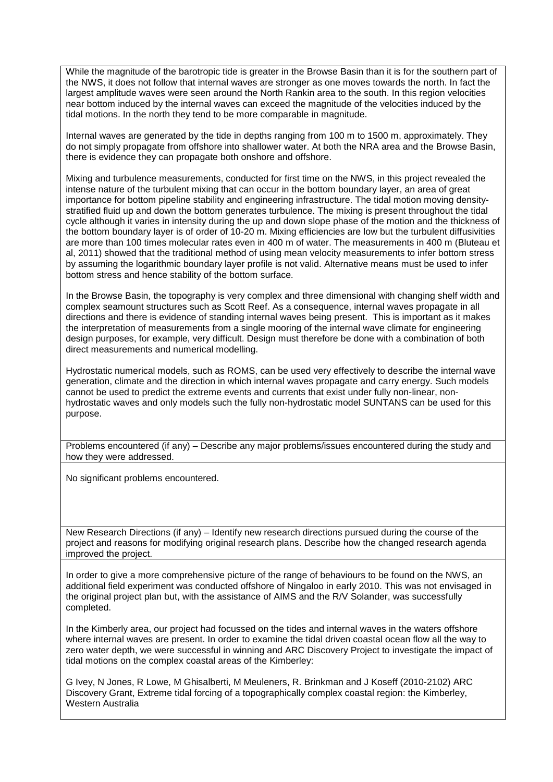While the magnitude of the barotropic tide is greater in the Browse Basin than it is for the southern part of the NWS, it does not follow that internal waves are stronger as one moves towards the north. In fact the largest amplitude waves were seen around the North Rankin area to the south. In this region velocities near bottom induced by the internal waves can exceed the magnitude of the velocities induced by the tidal motions. In the north they tend to be more comparable in magnitude.

Internal waves are generated by the tide in depths ranging from 100 m to 1500 m, approximately. They do not simply propagate from offshore into shallower water. At both the NRA area and the Browse Basin, there is evidence they can propagate both onshore and offshore.

Mixing and turbulence measurements, conducted for first time on the NWS, in this project revealed the intense nature of the turbulent mixing that can occur in the bottom boundary layer, an area of great importance for bottom pipeline stability and engineering infrastructure. The tidal motion moving densitystratified fluid up and down the bottom generates turbulence. The mixing is present throughout the tidal cycle although it varies in intensity during the up and down slope phase of the motion and the thickness of the bottom boundary layer is of order of 10-20 m. Mixing efficiencies are low but the turbulent diffusivities are more than 100 times molecular rates even in 400 m of water. The measurements in 400 m (Bluteau et al, 2011) showed that the traditional method of using mean velocity measurements to infer bottom stress by assuming the logarithmic boundary layer profile is not valid. Alternative means must be used to infer bottom stress and hence stability of the bottom surface.

In the Browse Basin, the topography is very complex and three dimensional with changing shelf width and complex seamount structures such as Scott Reef. As a consequence, internal waves propagate in all directions and there is evidence of standing internal waves being present. This is important as it makes the interpretation of measurements from a single mooring of the internal wave climate for engineering design purposes, for example, very difficult. Design must therefore be done with a combination of both direct measurements and numerical modelling.

Hydrostatic numerical models, such as ROMS, can be used very effectively to describe the internal wave generation, climate and the direction in which internal waves propagate and carry energy. Such models cannot be used to predict the extreme events and currents that exist under fully non-linear, nonhydrostatic waves and only models such the fully non-hydrostatic model SUNTANS can be used for this purpose.

Problems encountered (if any) – Describe any major problems/issues encountered during the study and how they were addressed.

No significant problems encountered.

New Research Directions (if any) – Identify new research directions pursued during the course of the project and reasons for modifying original research plans. Describe how the changed research agenda improved the project.

In order to give a more comprehensive picture of the range of behaviours to be found on the NWS, an additional field experiment was conducted offshore of Ningaloo in early 2010. This was not envisaged in the original project plan but, with the assistance of AIMS and the R/V Solander, was successfully completed.

In the Kimberly area, our project had focussed on the tides and internal waves in the waters offshore where internal waves are present. In order to examine the tidal driven coastal ocean flow all the way to zero water depth, we were successful in winning and ARC Discovery Project to investigate the impact of tidal motions on the complex coastal areas of the Kimberley:

G Ivey, N Jones, R Lowe, M Ghisalberti, M Meuleners, R. Brinkman and J Koseff (2010-2102) ARC Discovery Grant, Extreme tidal forcing of a topographically complex coastal region: the Kimberley, Western Australia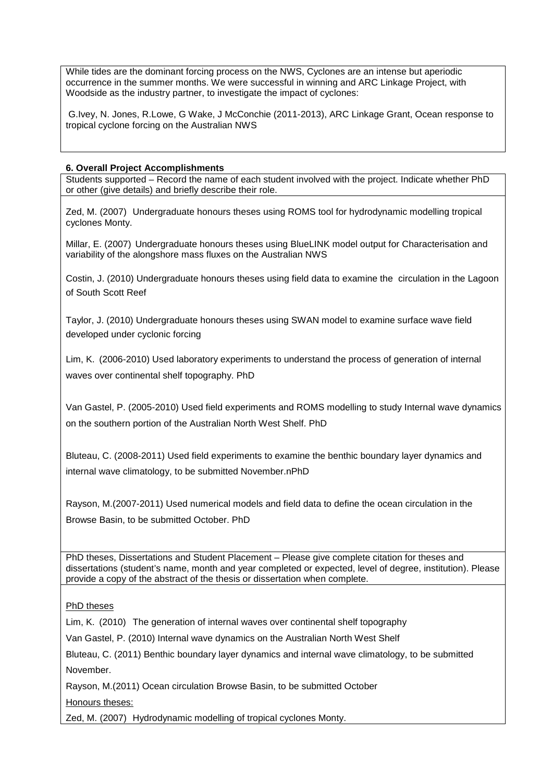While tides are the dominant forcing process on the NWS, Cyclones are an intense but aperiodic occurrence in the summer months. We were successful in winning and ARC Linkage Project, with Woodside as the industry partner, to investigate the impact of cyclones:

G.Ivey, N. Jones, R.Lowe, G Wake, J McConchie (2011-2013), ARC Linkage Grant, Ocean response to tropical cyclone forcing on the Australian NWS

## **6. Overall Project Accomplishments**

Students supported – Record the name of each student involved with the project. Indicate whether PhD or other (give details) and briefly describe their role.

Zed, M. (2007) Undergraduate honours theses using ROMS tool for hydrodynamic modelling tropical cyclones Monty.

Millar, E. (2007) Undergraduate honours theses using BlueLINK model output for Characterisation and variability of the alongshore mass fluxes on the Australian NWS

Costin, J. (2010) Undergraduate honours theses using field data to examine the circulation in the Lagoon of South Scott Reef

Taylor, J. (2010) Undergraduate honours theses using SWAN model to examine surface wave field developed under cyclonic forcing

Lim, K. (2006-2010) Used laboratory experiments to understand the process of generation of internal waves over continental shelf topography. PhD

Van Gastel, P. (2005-2010) Used field experiments and ROMS modelling to study Internal wave dynamics on the southern portion of the Australian North West Shelf. PhD

Bluteau, C. (2008-2011) Used field experiments to examine the benthic boundary layer dynamics and internal wave climatology, to be submitted November.nPhD

Rayson, M.(2007-2011) Used numerical models and field data to define the ocean circulation in the Browse Basin, to be submitted October. PhD

PhD theses, Dissertations and Student Placement – Please give complete citation for theses and dissertations (student's name, month and year completed or expected, level of degree, institution). Please provide a copy of the abstract of the thesis or dissertation when complete.

PhD theses

Lim, K. (2010) The generation of internal waves over continental shelf topography

Van Gastel, P. (2010) Internal wave dynamics on the Australian North West Shelf

Bluteau, C. (2011) Benthic boundary layer dynamics and internal wave climatology, to be submitted November.

Rayson, M.(2011) Ocean circulation Browse Basin, to be submitted October

Honours theses:

Zed, M. (2007) Hydrodynamic modelling of tropical cyclones Monty.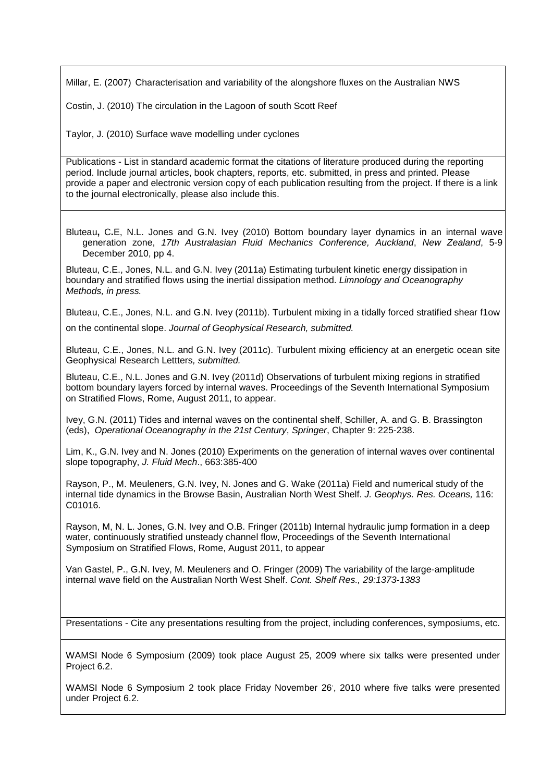Millar, E. (2007) Characterisation and variability of the alongshore fluxes on the Australian NWS

Costin, J. (2010) The circulation in the Lagoon of south Scott Reef

Taylor, J. (2010) Surface wave modelling under cyclones

Publications - List in standard academic format the citations of literature produced during the reporting period. Include journal articles, book chapters, reports, etc. submitted, in press and printed. Please provide a paper and electronic version copy of each publication resulting from the project. If there is a link to the journal electronically, please also include this.

Bluteau**,** C**.**E, N.L. Jones and G.N. Ivey (2010) Bottom boundary layer dynamics in an internal wave generation zone, *17th Australasian Fluid Mechanics Conference, Auckland*, *New Zealand*, 5-9 December 2010, pp 4.

Bluteau, C.E., Jones, N.L. and G.N. Ivey (2011a) Estimating turbulent kinetic energy dissipation in boundary and stratified flows using the inertial dissipation method. *Limnology and Oceanography Methods, in press.*

Bluteau, C.E., Jones, N.L. and G.N. Ivey (2011b). Turbulent mixing in a tidally forced stratified shear f1ow

on the continental slope. *Journal of Geophysical Research, submitted.*

Bluteau, C.E., Jones, N.L. and G.N. Ivey (2011c). Turbulent mixing efficiency at an energetic ocean site Geophysical Research Lettters*, submitted.*

Bluteau, C.E., N.L. Jones and G.N. Ivey (2011d) Observations of turbulent mixing regions in stratified bottom boundary layers forced by internal waves. Proceedings of the Seventh International Symposium on Stratified Flows, Rome, August 2011, to appear.

Ivey, G.N. (2011) Tides and internal waves on the continental shelf, Schiller, A. and G. B. Brassington (eds), *Operational Oceanography in the 21st Century*, *Springer*, Chapter 9: 225-238.

Lim, K., G.N. Ivey and N. Jones (2010) Experiments on the generation of internal waves over continental slope topography, *J. Fluid Mech*., 663:385-400

Rayson, P., M. Meuleners, G.N. Ivey, N. Jones and G. Wake (2011a) Field and numerical study of the internal tide dynamics in the Browse Basin, Australian North West Shelf. *J. Geophys. Res. Oceans,* 116: C01016.

Rayson, M, N. L. Jones, G.N. Ivey and O.B. Fringer (2011b) Internal hydraulic jump formation in a deep water, continuously stratified unsteady channel flow, Proceedings of the Seventh International Symposium on Stratified Flows, Rome, August 2011, to appear

Van Gastel, P., G.N. Ivey, M. Meuleners and O. Fringer (2009) The variability of the large-amplitude internal wave field on the Australian North West Shelf. *Cont. Shelf Res., 29:1373-1383*

Presentations - Cite any presentations resulting from the project, including conferences, symposiums, etc.

WAMSI Node 6 Symposium (2009) took place August 25, 2009 where six talks were presented under Project 6.2.

WAMSI Node 6 Symposium 2 took place Friday November 26', 2010 where five talks were presented under Project 6.2.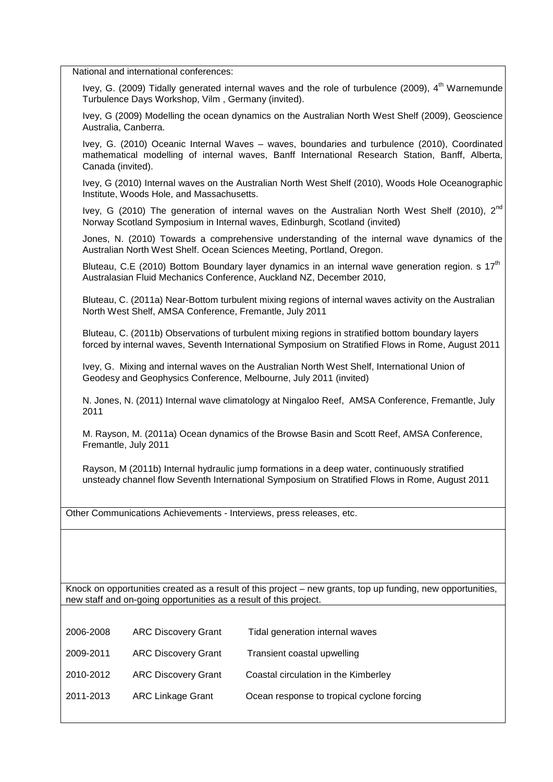National and international conferences:

Ivey, G. (2009) Tidally generated internal waves and the role of turbulence (2009), 4<sup>th</sup> Warnemunde Turbulence Days Workshop, Vilm , Germany (invited).

Ivey, G (2009) Modelling the ocean dynamics on the Australian North West Shelf (2009), Geoscience Australia, Canberra.

Ivey, G. (2010) Oceanic Internal Waves – waves, boundaries and turbulence (2010), Coordinated mathematical modelling of internal waves, Banff International Research Station, Banff, Alberta, Canada (invited).

Ivey, G (2010) Internal waves on the Australian North West Shelf (2010), Woods Hole Oceanographic Institute, Woods Hole, and Massachusetts.

Ivey, G (2010) The generation of internal waves on the Australian North West Shelf (2010),  $2^{nd}$ Norway Scotland Symposium in Internal waves, Edinburgh, Scotland (invited)

Jones, N. (2010) Towards a comprehensive understanding of the internal wave dynamics of the Australian North West Shelf. Ocean Sciences Meeting, Portland, Oregon.

Bluteau, C.E (2010) Bottom Boundary layer dynamics in an internal wave generation region. s  $17<sup>th</sup>$ Australasian Fluid Mechanics Conference, Auckland NZ, December 2010,

Bluteau, C. (2011a) Near-Bottom turbulent mixing regions of internal waves activity on the Australian North West Shelf, AMSA Conference, Fremantle, July 2011

Bluteau, C. (2011b) Observations of turbulent mixing regions in stratified bottom boundary layers forced by internal waves, Seventh International Symposium on Stratified Flows in Rome, August 2011

Ivey, G. Mixing and internal waves on the Australian North West Shelf, International Union of Geodesy and Geophysics Conference, Melbourne, July 2011 (invited)

N. Jones, N. (2011) Internal wave climatology at Ningaloo Reef, AMSA Conference, Fremantle, July 2011

M. Rayson, M. (2011a) Ocean dynamics of the Browse Basin and Scott Reef, AMSA Conference, Fremantle, July 2011

Rayson, M (2011b) Internal hydraulic jump formations in a deep water, continuously stratified unsteady channel flow Seventh International Symposium on Stratified Flows in Rome, August 2011

Other Communications Achievements - Interviews, press releases, etc.

Knock on opportunities created as a result of this project – new grants, top up funding, new opportunities, new staff and on-going opportunities as a result of this project.

| 2006-2008 | <b>ARC Discovery Grant</b> | Tidal generation internal waves            |
|-----------|----------------------------|--------------------------------------------|
| 2009-2011 | <b>ARC Discovery Grant</b> | Transient coastal upwelling                |
| 2010-2012 | <b>ARC Discovery Grant</b> | Coastal circulation in the Kimberley       |
| 2011-2013 | <b>ARC Linkage Grant</b>   | Ocean response to tropical cyclone forcing |
|           |                            |                                            |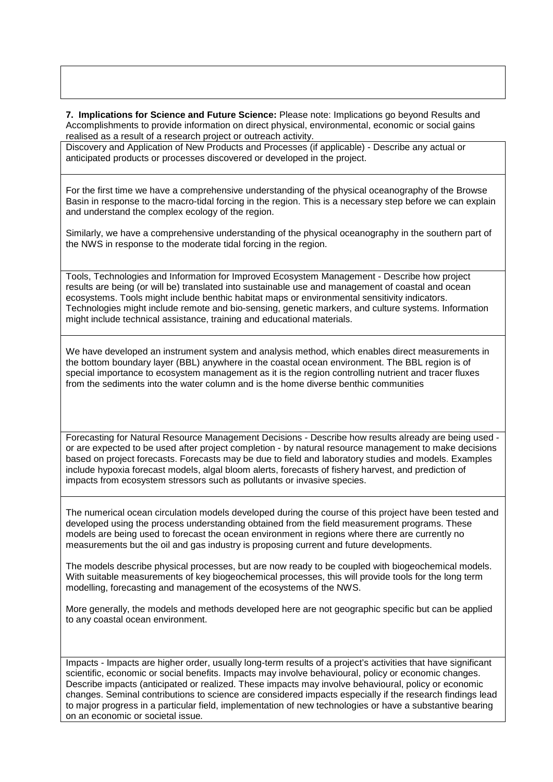**7. Implications for Science and Future Science:** Please note: Implications go beyond Results and Accomplishments to provide information on direct physical, environmental, economic or social gains realised as a result of a research project or outreach activity.

Discovery and Application of New Products and Processes (if applicable) - Describe any actual or anticipated products or processes discovered or developed in the project.

For the first time we have a comprehensive understanding of the physical oceanography of the Browse Basin in response to the macro-tidal forcing in the region. This is a necessary step before we can explain and understand the complex ecology of the region.

Similarly, we have a comprehensive understanding of the physical oceanography in the southern part of the NWS in response to the moderate tidal forcing in the region.

Tools, Technologies and Information for Improved Ecosystem Management - Describe how project results are being (or will be) translated into sustainable use and management of coastal and ocean ecosystems. Tools might include benthic habitat maps or environmental sensitivity indicators. Technologies might include remote and bio-sensing, genetic markers, and culture systems. Information might include technical assistance, training and educational materials.

We have developed an instrument system and analysis method, which enables direct measurements in the bottom boundary layer (BBL) anywhere in the coastal ocean environment. The BBL region is of special importance to ecosystem management as it is the region controlling nutrient and tracer fluxes from the sediments into the water column and is the home diverse benthic communities

Forecasting for Natural Resource Management Decisions - Describe how results already are being used or are expected to be used after project completion - by natural resource management to make decisions based on project forecasts. Forecasts may be due to field and laboratory studies and models. Examples include hypoxia forecast models, algal bloom alerts, forecasts of fishery harvest, and prediction of impacts from ecosystem stressors such as pollutants or invasive species.

The numerical ocean circulation models developed during the course of this project have been tested and developed using the process understanding obtained from the field measurement programs. These models are being used to forecast the ocean environment in regions where there are currently no measurements but the oil and gas industry is proposing current and future developments.

The models describe physical processes, but are now ready to be coupled with biogeochemical models. With suitable measurements of key biogeochemical processes, this will provide tools for the long term modelling, forecasting and management of the ecosystems of the NWS.

More generally, the models and methods developed here are not geographic specific but can be applied to any coastal ocean environment.

Impacts - Impacts are higher order, usually long-term results of a project's activities that have significant scientific, economic or social benefits. Impacts may involve behavioural, policy or economic changes. Describe impacts (anticipated or realized. These impacts may involve behavioural, policy or economic changes. Seminal contributions to science are considered impacts especially if the research findings lead to major progress in a particular field, implementation of new technologies or have a substantive bearing on an economic or societal issue*.*